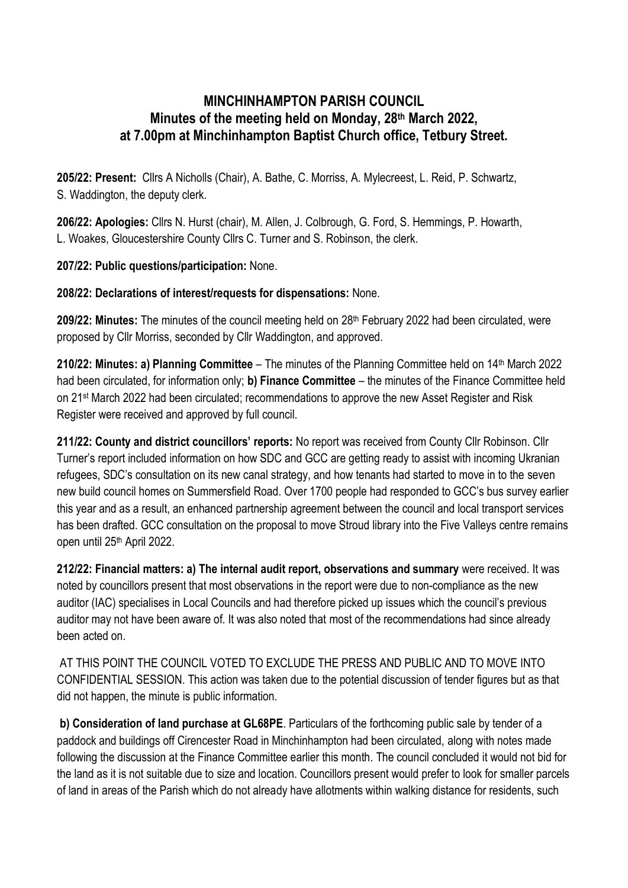## **MINCHINHAMPTON PARISH COUNCIL Minutes of the meeting held on Monday, 28th March 2022, at 7.00pm at Minchinhampton Baptist Church office, Tetbury Street.**

**205/22: Present:** Cllrs A Nicholls (Chair), A. Bathe, C. Morriss, A. Mylecreest, L. Reid, P. Schwartz, S. Waddington, the deputy clerk.

**206/22: Apologies:** Cllrs N. Hurst (chair), M. Allen, J. Colbrough, G. Ford, S. Hemmings, P. Howarth, L. Woakes, Gloucestershire County Cllrs C. Turner and S. Robinson, the clerk.

**207/22: Public questions/participation:** None.

## **208/22: Declarations of interest/requests for dispensations:** None.

**209/22: Minutes:** The minutes of the council meeting held on 28<sup>th</sup> February 2022 had been circulated, were proposed by Cllr Morriss, seconded by Cllr Waddington, and approved.

**210/22: Minutes: a) Planning Committee** – The minutes of the Planning Committee held on 14th March 2022 had been circulated, for information only; **b) Finance Committee** – the minutes of the Finance Committee held on 21<sup>st</sup> March 2022 had been circulated; recommendations to approve the new Asset Register and Risk Register were received and approved by full council.

**211/22: County and district councillors' reports:** No report was received from County Cllr Robinson. Cllr Turner's report included information on how SDC and GCC are getting ready to assist with incoming Ukranian refugees, SDC's consultation on its new canal strategy, and how tenants had started to move in to the seven new build council homes on Summersfield Road. Over 1700 people had responded to GCC's bus survey earlier this year and as a result, an enhanced partnership agreement between the council and local transport services has been drafted. GCC consultation on the proposal to move Stroud library into the Five Valleys centre remains open until 25<sup>th</sup> April 2022.

**212/22: Financial matters: a) The internal audit report, observations and summary** were received. It was noted by councillors present that most observations in the report were due to non-compliance as the new auditor (IAC) specialises in Local Councils and had therefore picked up issues which the council's previous auditor may not have been aware of. It was also noted that most of the recommendations had since already been acted on.

AT THIS POINT THE COUNCIL VOTED TO EXCLUDE THE PRESS AND PUBLIC AND TO MOVE INTO CONFIDENTIAL SESSION. This action was taken due to the potential discussion of tender figures but as that did not happen, the minute is public information.

**b) Consideration of land purchase at GL68PE**. Particulars of the forthcoming public sale by tender of a paddock and buildings off Cirencester Road in Minchinhampton had been circulated, along with notes made following the discussion at the Finance Committee earlier this month. The council concluded it would not bid for the land as it is not suitable due to size and location. Councillors present would prefer to look for smaller parcels of land in areas of the Parish which do not already have allotments within walking distance for residents, such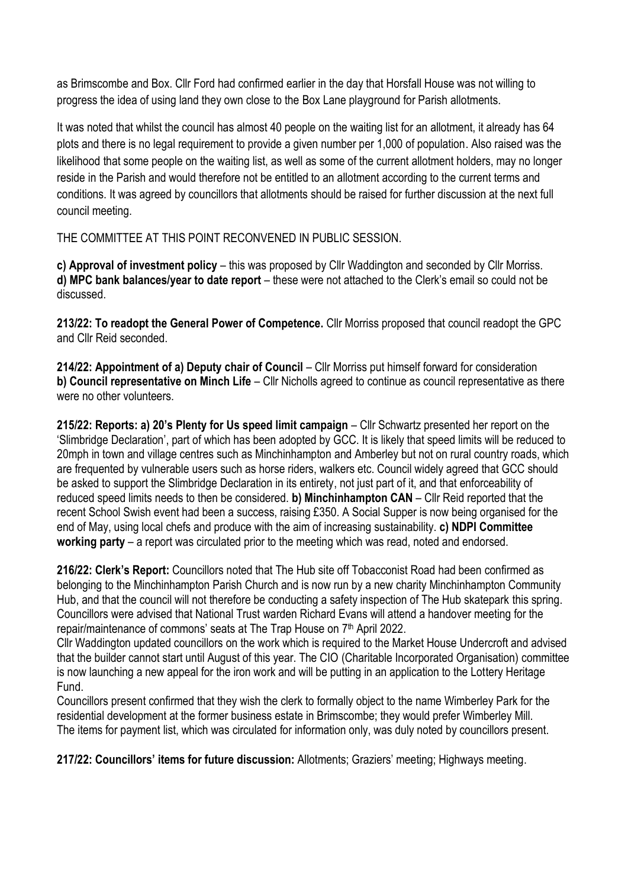as Brimscombe and Box. Cllr Ford had confirmed earlier in the day that Horsfall House was not willing to progress the idea of using land they own close to the Box Lane playground for Parish allotments.

It was noted that whilst the council has almost 40 people on the waiting list for an allotment, it already has 64 plots and there is no legal requirement to provide a given number per 1,000 of population. Also raised was the likelihood that some people on the waiting list, as well as some of the current allotment holders, may no longer reside in the Parish and would therefore not be entitled to an allotment according to the current terms and conditions. It was agreed by councillors that allotments should be raised for further discussion at the next full council meeting.

THE COMMITTEE AT THIS POINT RECONVENED IN PUBLIC SESSION.

**c) Approval of investment policy** – this was proposed by Cllr Waddington and seconded by Cllr Morriss. **d) MPC bank balances/year to date report** – these were not attached to the Clerk's email so could not be discussed.

**213/22: To readopt the General Power of Competence.** Cllr Morriss proposed that council readopt the GPC and Cllr Reid seconded.

**214/22: Appointment of a) Deputy chair of Council** – Cllr Morriss put himself forward for consideration **b) Council representative on Minch Life** – Cllr Nicholls agreed to continue as council representative as there were no other volunteers.

**215/22: Reports: a) 20's Plenty for Us speed limit campaign** – Cllr Schwartz presented her report on the 'Slimbridge Declaration', part of which has been adopted by GCC. It is likely that speed limits will be reduced to 20mph in town and village centres such as Minchinhampton and Amberley but not on rural country roads, which are frequented by vulnerable users such as horse riders, walkers etc. Council widely agreed that GCC should be asked to support the Slimbridge Declaration in its entirety, not just part of it, and that enforceability of reduced speed limits needs to then be considered. **b) Minchinhampton CAN** – Cllr Reid reported that the recent School Swish event had been a success, raising £350. A Social Supper is now being organised for the end of May, using local chefs and produce with the aim of increasing sustainability. **c) NDPI Committee working party** – a report was circulated prior to the meeting which was read, noted and endorsed.

**216/22: Clerk's Report:** Councillors noted that The Hub site off Tobacconist Road had been confirmed as belonging to the Minchinhampton Parish Church and is now run by a new charity Minchinhampton Community Hub, and that the council will not therefore be conducting a safety inspection of The Hub skatepark this spring. Councillors were advised that National Trust warden Richard Evans will attend a handover meeting for the repair/maintenance of commons' seats at The Trap House on 7<sup>th</sup> April 2022.

Cllr Waddington updated councillors on the work which is required to the Market House Undercroft and advised that the builder cannot start until August of this year. The CIO (Charitable Incorporated Organisation) committee is now launching a new appeal for the iron work and will be putting in an application to the Lottery Heritage Fund.

Councillors present confirmed that they wish the clerk to formally object to the name Wimberley Park for the residential development at the former business estate in Brimscombe; they would prefer Wimberley Mill. The items for payment list, which was circulated for information only, was duly noted by councillors present.

**217/22: Councillors' items for future discussion:** Allotments; Graziers' meeting; Highways meeting.